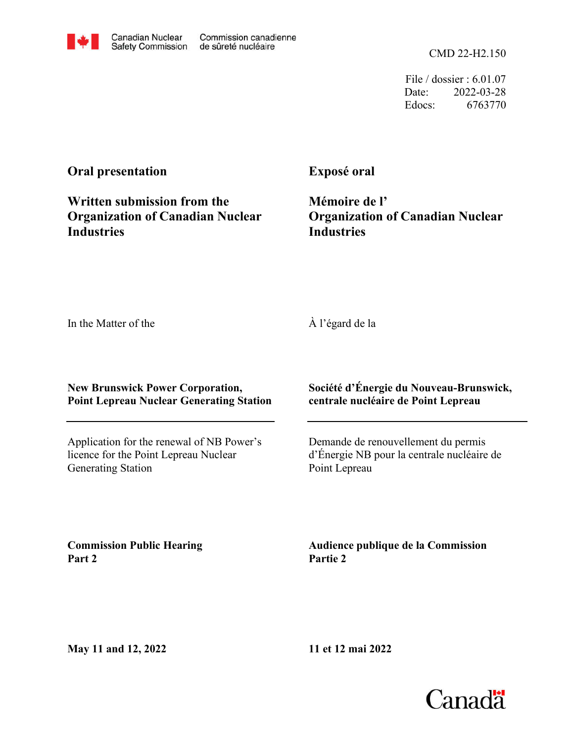CMD 22-H2.150

File / dossier : 6.01.07 Date: 2022-03-28 Edocs: 6763770

## **Oral presentation**

**Written submission from the Organization of Canadian Nuclear Industries**

**Exposé oral**

**Mémoire de l' Organization of Canadian Nuclear Industries**

In the Matter of the

À l'égard de la

**New Brunswick Power Corporation, Point Lepreau Nuclear Generating Station**

Application for the renewal of NB Power's licence for the Point Lepreau Nuclear Generating Station

**Société d'Énergie du Nouveau-Brunswick, centrale nucléaire de Point Lepreau**

Demande de renouvellement du permis d'Énergie NB pour la centrale nucléaire de Point Lepreau

**Commission Public Hearing Part 2**

**Audience publique de la Commission Partie 2**

**11 et 12 mai 2022**

**May 11 and 12, 2022**

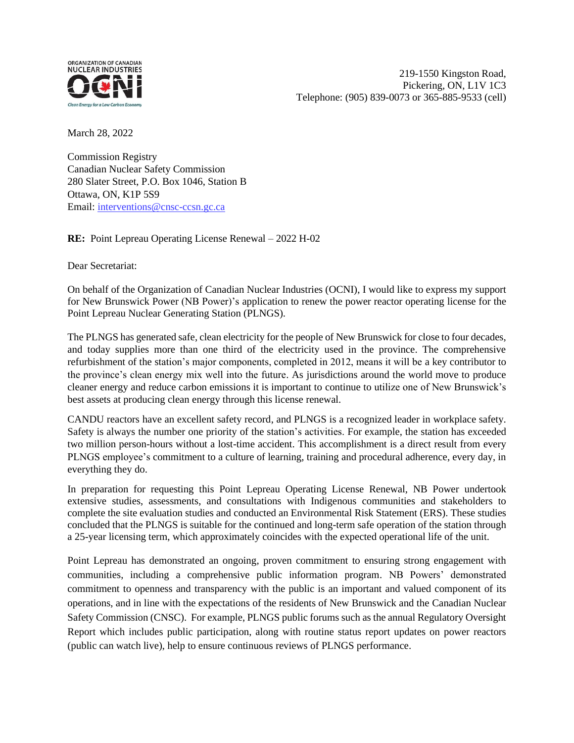

March 28, 2022

Commission Registry Canadian Nuclear Safety Commission 280 Slater Street, P.O. Box 1046, Station B Ottawa, ON, K1P 5S9 Email: [interventions@cnsc-ccsn.gc.ca](mailto:interventions@cnsc-ccsn.gc.ca)

**RE:** Point Lepreau Operating License Renewal – 2022 H-02

Dear Secretariat:

On behalf of the Organization of Canadian Nuclear Industries (OCNI), I would like to express my support for New Brunswick Power (NB Power)'s application to renew the power reactor operating license for the Point Lepreau Nuclear Generating Station (PLNGS).

The PLNGS has generated safe, clean electricity for the people of New Brunswick for close to four decades, and today supplies more than one third of the electricity used in the province. The comprehensive refurbishment of the station's major components, completed in 2012, means it will be a key contributor to the province's clean energy mix well into the future. As jurisdictions around the world move to produce cleaner energy and reduce carbon emissions it is important to continue to utilize one of New Brunswick's best assets at producing clean energy through this license renewal.

CANDU reactors have an excellent safety record, and PLNGS is a recognized leader in workplace safety. Safety is always the number one priority of the station's activities. For example, the station has exceeded two million person-hours without a lost-time accident. This accomplishment is a direct result from every PLNGS employee's commitment to a culture of learning, training and procedural adherence, every day, in everything they do.

In preparation for requesting this Point Lepreau Operating License Renewal, NB Power undertook extensive studies, assessments, and consultations with Indigenous communities and stakeholders to complete the site evaluation studies and conducted an Environmental Risk Statement (ERS). These studies concluded that the PLNGS is suitable for the continued and long-term safe operation of the station through a 25-year licensing term, which approximately coincides with the expected operational life of the unit.

Point Lepreau has demonstrated an ongoing, proven commitment to ensuring strong engagement with communities, including a comprehensive public information program. NB Powers' demonstrated commitment to openness and transparency with the public is an important and valued component of its operations, and in line with the expectations of the residents of New Brunswick and the Canadian Nuclear Safety Commission (CNSC). For example, PLNGS public forums such as the annual Regulatory Oversight Report which includes public participation, along with routine status report updates on power reactors (public can watch live), help to ensure continuous reviews of PLNGS performance.